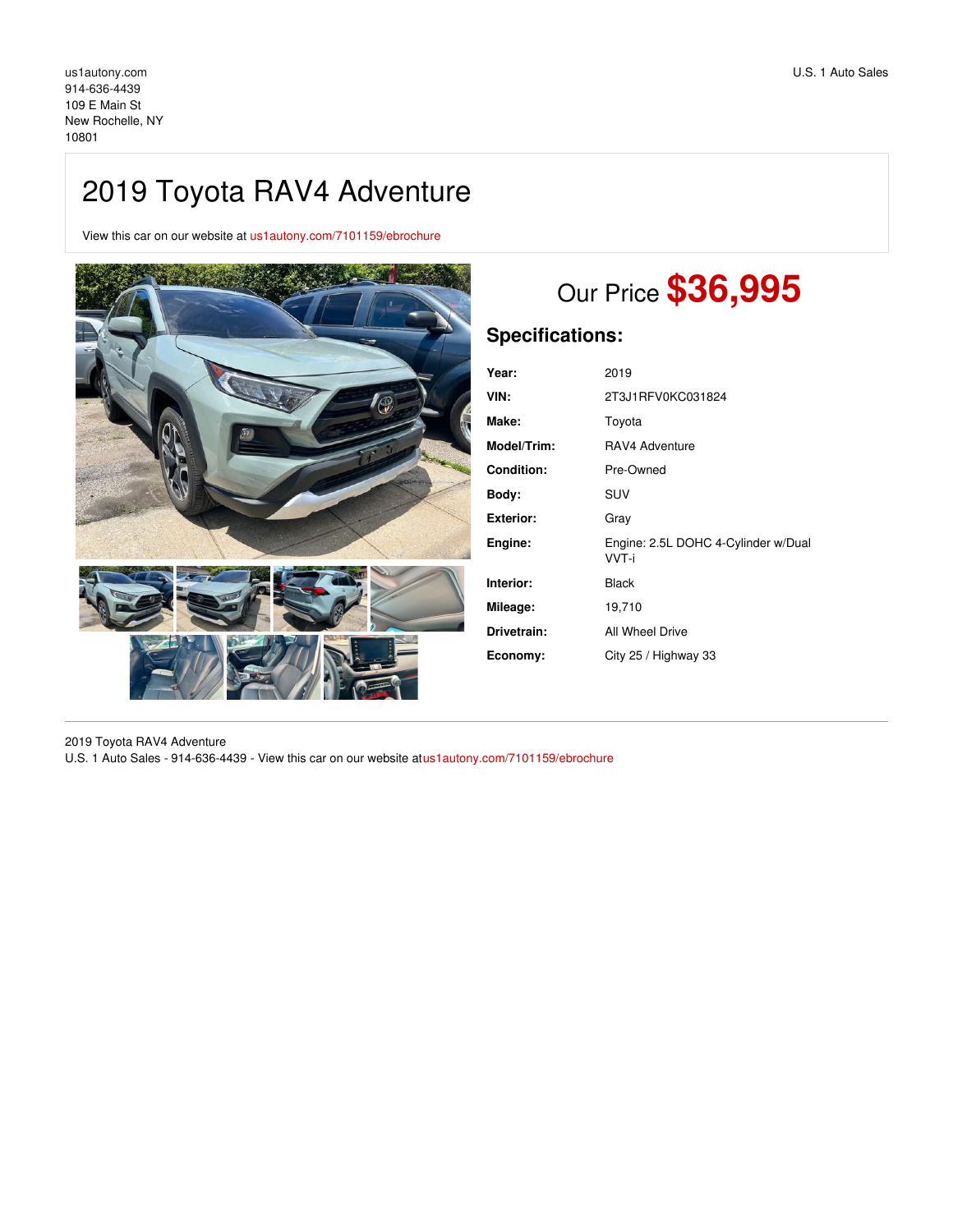## 2019 Toyota RAV4 Adventure

View this car on our website at [us1autony.com/7101159/ebrochure](https://us1autony.com/vehicle/7101159/2019-toyota-rav4-adventure-new-rochelle-ny-10801/7101159/ebrochure)



# Our Price **\$36,995**

## **Specifications:**

| Year:              | 2019                                         |
|--------------------|----------------------------------------------|
| VIN:               | 2T3J1RFV0KC031824                            |
| Make:              | Toyota                                       |
| <b>Model/Trim:</b> | RAV4 Adventure                               |
| <b>Condition:</b>  | Pre-Owned                                    |
| Body:              | SUV                                          |
| Exterior:          | Gray                                         |
| Engine:            | Engine: 2.5L DOHC 4-Cylinder w/Dual<br>VVT-i |
| Interior:          | <b>Black</b>                                 |
| Mileage:           | 19,710                                       |
| Drivetrain:        | All Wheel Drive                              |
| Economy:           | City 25 / Highway 33                         |

2019 Toyota RAV4 Adventure U.S. 1 Auto Sales - 914-636-4439 - View this car on our website at[us1autony.com/7101159/ebrochure](https://us1autony.com/vehicle/7101159/2019-toyota-rav4-adventure-new-rochelle-ny-10801/7101159/ebrochure)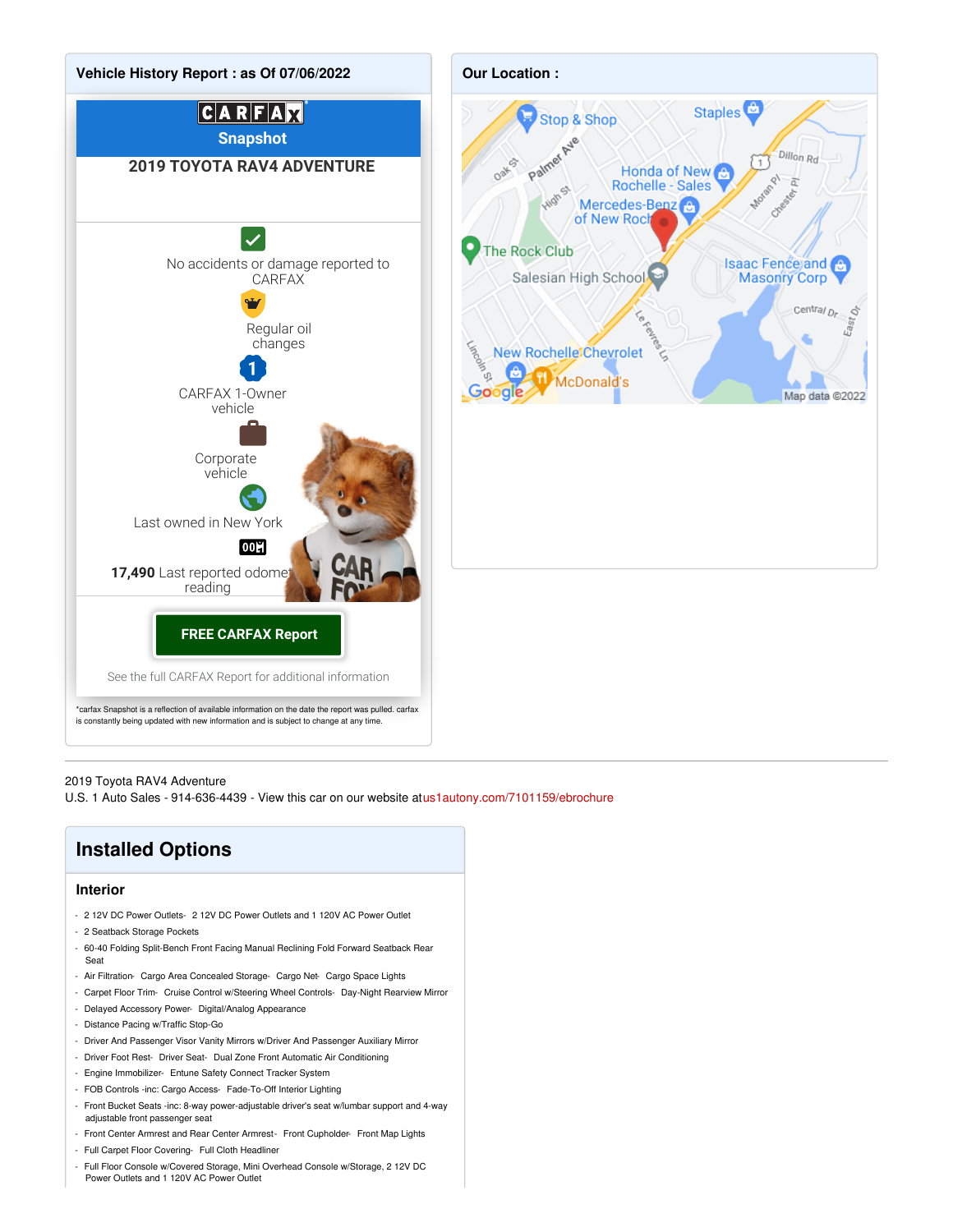

#### 2019 Toyota RAV4 Adventure

U.S. 1 Auto Sales - 914-636-4439 - View this car on our website at[us1autony.com/7101159/ebrochure](https://us1autony.com/vehicle/7101159/2019-toyota-rav4-adventure-new-rochelle-ny-10801/7101159/ebrochure)

## **Installed Options**

#### **Interior**

- 2 12V DC Power Outlets- 2 12V DC Power Outlets and 1 120V AC Power Outlet
- 2 Seatback Storage Pockets
- 60-40 Folding Split-Bench Front Facing Manual Reclining Fold Forward Seatback Rear Seat
- Air Filtration- Cargo Area Concealed Storage- Cargo Net- Cargo Space Lights
- Carpet Floor Trim- Cruise Control w/Steering Wheel Controls- Day-Night Rearview Mirror
- Delayed Accessory Power- Digital/Analog Appearance
- Distance Pacing w/Traffic Stop-Go
- Driver And Passenger Visor Vanity Mirrors w/Driver And Passenger Auxiliary Mirror
- Driver Foot Rest- Driver Seat- Dual Zone Front Automatic Air Conditioning
- Engine Immobilizer- Entune Safety Connect Tracker System
- FOB Controls -inc: Cargo Access- Fade-To-Off Interior Lighting
- Front Bucket Seats -inc: 8-way power-adjustable driver's seat w/lumbar support and 4-way adjustable front passenger seat
- Front Center Armrest and Rear Center Armrest- Front Cupholder- Front Map Lights
- Full Carpet Floor Covering- Full Cloth Headliner
- Full Floor Console w/Covered Storage, Mini Overhead Console w/Storage, 2 12V DC Power Outlets and 1 120V AC Power Outlet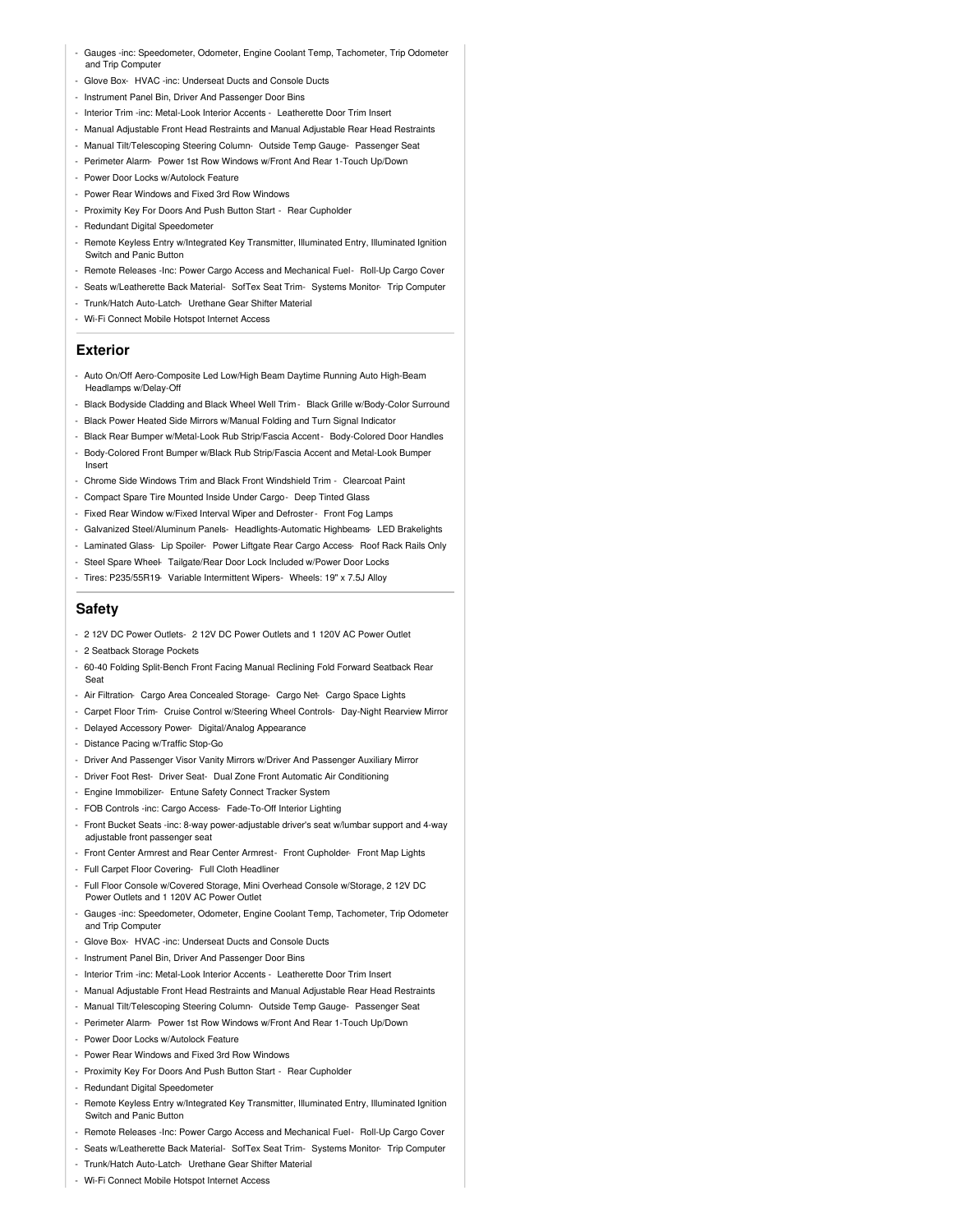- Gauges -inc: Speedometer, Odometer, Engine Coolant Temp, Tachometer, Trip Odometer and Trip Computer
- Glove Box- HVAC -inc: Underseat Ducts and Console Ducts
- Instrument Panel Bin, Driver And Passenger Door Bins
- Interior Trim -inc: Metal-Look Interior Accents Leatherette Door Trim Insert
- Manual Adjustable Front Head Restraints and Manual Adjustable Rear Head Restraints
- Manual Tilt/Telescoping Steering Column- Outside Temp Gauge- Passenger Seat
- Perimeter Alarm- Power 1st Row Windows w/Front And Rear 1-Touch Up/Down
- Power Door Locks w/Autolock Feature
- Power Rear Windows and Fixed 3rd Row Windows - Proximity Key For Doors And Push Button Start - Rear Cupholder
- Redundant Digital Speedometer
- 
- Remote Keyless Entry w/Integrated Key Transmitter, Illuminated Entry, Illuminated Ignition Switch and Panic Button
- Remote Releases -Inc: Power Cargo Access and Mechanical Fuel- Roll-Up Cargo Cover
- Seats w/Leatherette Back Material- SofTex Seat Trim- Systems Monitor- Trip Computer
- Trunk/Hatch Auto-Latch- Urethane Gear Shifter Material
- Wi-Fi Connect Mobile Hotspot Internet Access

#### **Exterior**

- Auto On/Off Aero-Composite Led Low/High Beam Daytime Running Auto High-Beam Headlamps w/Delay-Off
- Black Bodyside Cladding and Black Wheel Well Trim Black Grille w/Body-Color Surround - Black Power Heated Side Mirrors w/Manual Folding and Turn Signal Indicator
- Black Rear Bumper w/Metal-Look Rub Strip/Fascia Accent- Body-Colored Door Handles
- Body-Colored Front Bumper w/Black Rub Strip/Fascia Accent and Metal-Look Bumper Insert
- Chrome Side Windows Trim and Black Front Windshield Trim Clearcoat Paint
- Compact Spare Tire Mounted Inside Under Cargo- Deep Tinted Glass
- Fixed Rear Window w/Fixed Interval Wiper and Defroster- Front Fog Lamps
- Galvanized Steel/Aluminum Panels- Headlights-Automatic Highbeams- LED Brakelights
- Laminated Glass- Lip Spoiler- Power Liftgate Rear Cargo Access- Roof Rack Rails Only
- Steel Spare Wheel- Tailgate/Rear Door Lock Included w/Power Door Locks
- Tires: P235/55R19- Variable Intermittent Wipers- Wheels: 19" x 7.5J Alloy

#### **Safety**

- 2 12V DC Power Outlets- 2 12V DC Power Outlets and 1 120V AC Power Outlet
- 2 Seatback Storage Pockets
- 60-40 Folding Split-Bench Front Facing Manual Reclining Fold Forward Seatback Rear Seat
- Air Filtration- Cargo Area Concealed Storage- Cargo Net- Cargo Space Lights
- Carpet Floor Trim- Cruise Control w/Steering Wheel Controls- Day-Night Rearview Mirror
- Delayed Accessory Power- Digital/Analog Appearance
- Distance Pacing w/Traffic Stop-Go
- Driver And Passenger Visor Vanity Mirrors w/Driver And Passenger Auxiliary Mirror
- Driver Foot Rest- Driver Seat- Dual Zone Front Automatic Air Conditioning
- Engine Immobilizer- Entune Safety Connect Tracker System
- FOB Controls -inc: Cargo Access- Fade-To-Off Interior Lighting
- Front Bucket Seats -inc: 8-way power-adjustable driver's seat w/lumbar support and 4-way adjustable front passenger seat
- Front Center Armrest and Rear Center Armrest- Front Cupholder- Front Map Lights
- Full Carpet Floor Covering- Full Cloth Headliner
- Full Floor Console w/Covered Storage, Mini Overhead Console w/Storage, 2 12V DC Power Outlets and 1 120V AC Power Outlet
- Gauges -inc: Speedometer, Odometer, Engine Coolant Temp, Tachometer, Trip Odometer and Trip Computer
- Glove Box- HVAC -inc: Underseat Ducts and Console Ducts
- Instrument Panel Bin, Driver And Passenger Door Bins
- Interior Trim -inc: Metal-Look Interior Accents Leatherette Door Trim Insert
- Manual Adjustable Front Head Restraints and Manual Adjustable Rear Head Restraints
- Manual Tilt/Telescoping Steering Column- Outside Temp Gauge- Passenger Seat
- Perimeter Alarm- Power 1st Row Windows w/Front And Rear 1-Touch Up/Down
- Power Door Locks w/Autolock Feature
- Power Rear Windows and Fixed 3rd Row Windows
- Proximity Key For Doors And Push Button Start Rear Cupholder
- Redundant Digital Speedometer
- Remote Keyless Entry w/Integrated Key Transmitter, Illuminated Entry, Illuminated Ignition Switch and Panic Button
- Remote Releases -Inc: Power Cargo Access and Mechanical Fuel- Roll-Up Cargo Cover
- Seats w/Leatherette Back Material- SofTex Seat Trim- Systems Monitor- Trip Computer
- Trunk/Hatch Auto-Latch- Urethane Gear Shifter Material
- Wi-Fi Connect Mobile Hotspot Internet Access